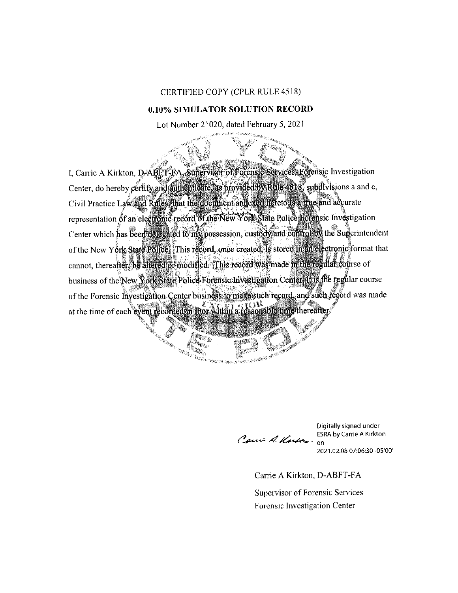## CERTIFIED COPY (CPLR RULE 4518)

## 0.10% SIMULATOR SOLUTION RECORD

Lot Number 21020, dated February 5, 2021

I, Carrie A Kirkton, D-ABET-FA, Supervisor of Forensic Services, Eorensic Investigation Center, do hereby certify and authenticate, as provided by Rule 4518, subdivisions a and c, Civil Practice Law and Rules that the document annexed hereto is a true and accurate representation of an electronic record of the New York State Police Horensic Investigation Center which has been delegated to my possession, custody and control by the Superintendent of the New York State Police, This record, once created, is stored in an electronic format that cannot, thereafter, be altered or modified. This record was made in the regular course of business of the New York State Police Forensic Investigation Center if is the regular course of the Forensic Investigation Center business to make such record, and such record was made at the time of each event recorded in thor within a reasonable time thereafter ي المجرد المواليد المجرد المجرد المجرد المجرد المجرد المجرد المجرد المجرد المجرد المجرد المجرد المجرد المجرد ا<br>المجرد المجرد المجرد المجرد المجرد المجرد المجرد المجرد المجرد المجرد المجرد المجرد المجرد المجرد المجرد المجر

Anta<sub>ras</sub> in<sub>the</sub>

Wunggezon zen era 1939

Carri A. Kubber

SANTO REPORT DE CALIF

Digitally signed under **ESRA by Carrie A Kirkton** on

2021.02.08 07:06:30 -05'00'

Carrie A Kirkton, D-ABFT-FA

Supervisor of Forensic Services Forensic Investigation Center